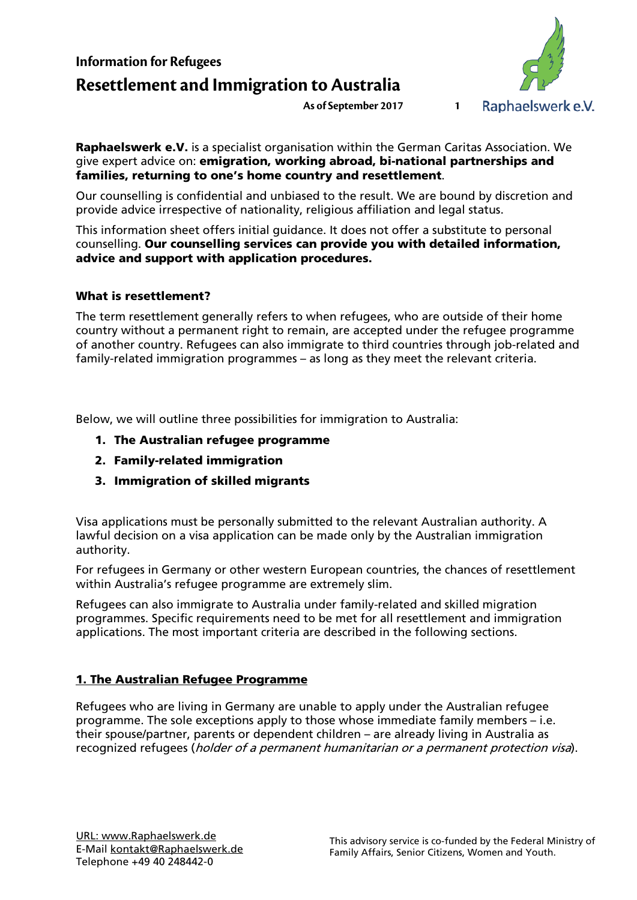# **Information for Refugees Resettlement and Immigration to Australia**



Raphaelswerk e.V. is a specialist organisation within the German Caritas Association. We give expert advice on: emigration, working abroad, bi-national partnerships and families, returning to one's home country and resettlement.

Our counselling is confidential and unbiased to the result. We are bound by discretion and provide advice irrespective of nationality, religious affiliation and legal status.

This information sheet offers initial guidance. It does not offer a substitute to personal counselling. Our counselling services can provide you with detailed information, advice and support with application procedures.

### What is resettlement?

The term resettlement generally refers to when refugees, who are outside of their home country without a permanent right to remain, are accepted under the refugee programme of another country. Refugees can also immigrate to third countries through job-related and family-related immigration programmes – as long as they meet the relevant criteria.

Below, we will outline three possibilities for immigration to Australia:

- 1. The Australian refugee programme
- 2. Family-related immigration
- 3. Immigration of skilled migrants

Visa applications must be personally submitted to the relevant Australian authority. A lawful decision on a visa application can be made only by the Australian immigration authority.

For refugees in Germany or other western European countries, the chances of resettlement within Australia's refugee programme are extremely slim.

Refugees can also immigrate to Australia under family-related and skilled migration programmes. Specific requirements need to be met for all resettlement and immigration applications. The most important criteria are described in the following sections.

### 1. The Australian Refugee Programme

Refugees who are living in Germany are unable to apply under the Australian refugee programme. The sole exceptions apply to those whose immediate family members – i.e. their spouse/partner, parents or dependent children – are already living in Australia as recognized refugees (*holder of a permanent humanitarian or a permanent protection visa*).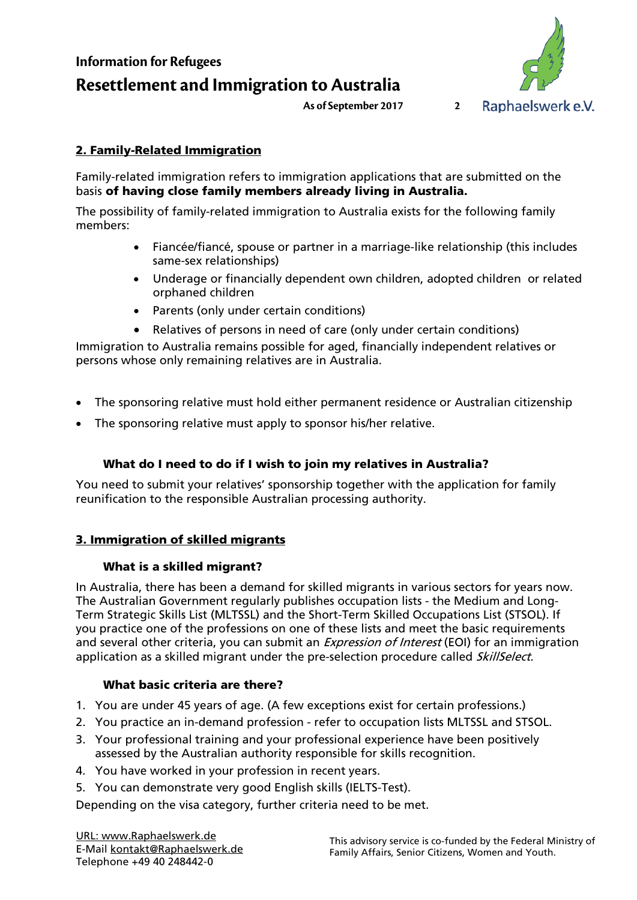**Information for Refugees Resettlement and Immigration to Australia**



## 2. Family-Related Immigration

Family-related immigration refers to immigration applications that are submitted on the basis of having close family members already living in Australia.

The possibility of family-related immigration to Australia exists for the following family members:

- Fiancée/fiancé, spouse or partner in a marriage-like relationship (this includes same-sex relationships)
- Underage or financially dependent own children, adopted children or related orphaned children
- Parents (only under certain conditions)
- Relatives of persons in need of care (only under certain conditions)

Immigration to Australia remains possible for aged, financially independent relatives or persons whose only remaining relatives are in Australia.

- The sponsoring relative must hold either permanent residence or Australian citizenship
- The sponsoring relative must apply to sponsor his/her relative.

## What do I need to do if I wish to join my relatives in Australia?

You need to submit your relatives' sponsorship together with the application for family reunification to the responsible Australian processing authority.

### 3. Immigration of skilled migrants

### What is a skilled migrant?

In Australia, there has been a demand for skilled migrants in various sectors for years now. The Australian Government regularly publishes occupation lists - the Medium and Long-Term Strategic Skills List (MLTSSL) and the Short-Term Skilled Occupations List (STSOL). If you practice one of the professions on one of these lists and meet the basic requirements and several other criteria, you can submit an *Expression of Interest* (EOI) for an immigration application as a skilled migrant under the pre-selection procedure called *SkillSelect*.

### What basic criteria are there?

- 1. You are under 45 years of age. (A few exceptions exist for certain professions.)
- 2. You practice an in-demand profession refer to occupation lists MLTSSL and STSOL.
- 3. Your professional training and your professional experience have been positively assessed by the Australian authority responsible for skills recognition.
- 4. You have worked in your profession in recent years.
- 5. You can demonstrate very good English skills (IELTS-Test).

Depending on the visa category, further criteria need to be met.